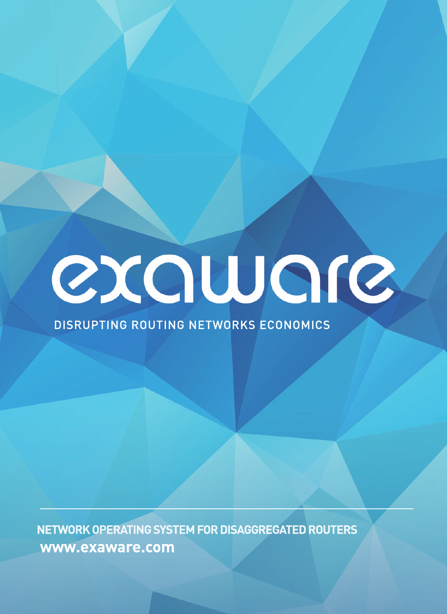

DISRUPTING ROUTING NETWORKS ECONOMICS

**NETWORK OPERATING SYSTEM FOR DISAGGREGATED ROUTERS www.exaware.com**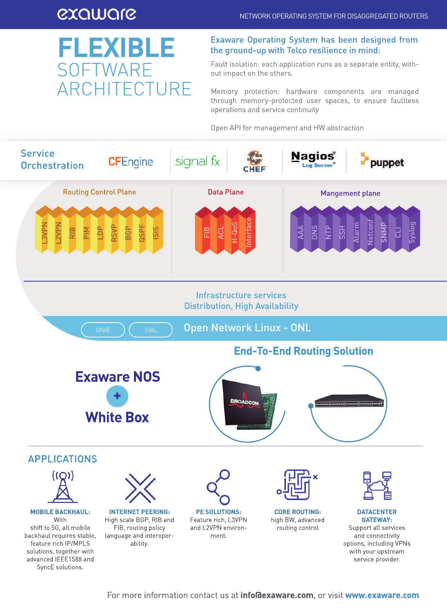## exaware

## **FLEXIBLE** SOFTWARE ARCHITECTURE

### Exaware Operating System has been designed from the ground-up with Telco resilience in mind:

Fault isolation: each application runs as a separate entity, without impact on the others.

Memory protection: hardware components are managed through memory-protected user spaces, to ensure faultless operations and service continuity

Open API for management and HW abstraction

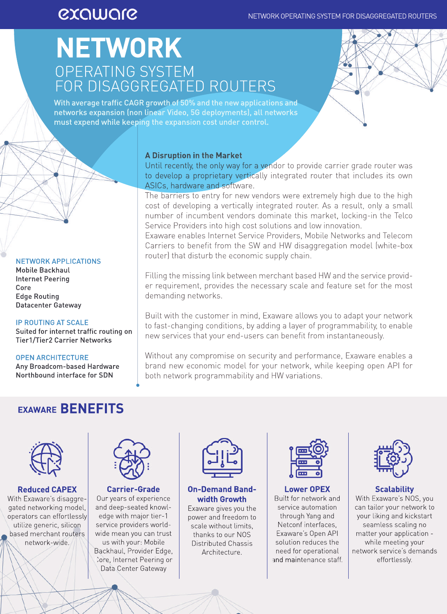## exaware

## **NETWORK** OPERATING SYSTEM FOR DISAGGREGATED ROUTERS



With average traffic CAGR growth of 50% and the new applications and networks expansion (non linear Video, 5G deployments), all networks must expend while keeping the expansion cost under control.

### NETWORKAPPLICATIONS

**Mobile Backhaul** Internet Peering Core **Edge Routing** Datacenter Gateway

### **IP ROUTING AT SCALE**

Suited for internet traffic routing on Tier1/Tier2 Carrier Networks

### **OPEN ARCHITECTURE**

Any Broadcom-based Hardware Northbound interface for SDN

### **A Disruption in the Market**

Until recently, the only way for a vendor to provide carrier grade router was to develop a proprietary vertically integrated router that includes its own ASICs, hardware and software.

The barriers to entry for new vendors were extremely high due to the high cost of developing a vertically integrated router. As a result, only a small number of incumbent vendors dominate this market, locking-in the Telco Service Providers into high cost solutions and low innovation.

Exaware enables Internet Service Providers, Mobile Networks and Telecom Carriers to benefit from the SW and HW disaggregation model (white-box router) that disturb the economic supply chain.

Filling the missing link between merchant based HW and the service provider requirement, provides the necessary scale and feature set for the most demanding networks.

Built with the customer in mind, Exaware allows you to adapt your network to fast-changing conditions, by adding a layer of programmability, to enable new services that your end-users can benefit from instantaneously.

Without any compromise on security and performance. Exaware enables a brand new economic model for your network, while keeping open API for both network programmability and HW variations.

### **EXAWARE BENEFITS**



**Reduced CAPEX** With Exaware's disaggregated networking model, operators can effortlessly utilize generic, silicon based merchant routers network-wide.



### **Carrier-Grade** Our years of experience and deep-seated knowledge with major tier-1 service providers worldwide mean you can trust us with your: Mobile Backhaul, Provider Edge, Core, Internet Peering or Data Center Gateway



### **On-Demand Bandwidth Growth**

Exaware gives you the power and freedom to scale without limits. thanks to our NOS DistributedChassis Architecture.



### **Lower OPEX** Built for network and service automation through Yang and Netconf interfaces, Exaware's Open API solution reduces the need for operational and maintenance staff.



### **Scalability**

With Exaware's NOS, you can tailor your network to your liking and kickstart seamless scaling no matter your application while meeting your network service's demands effortlessly.